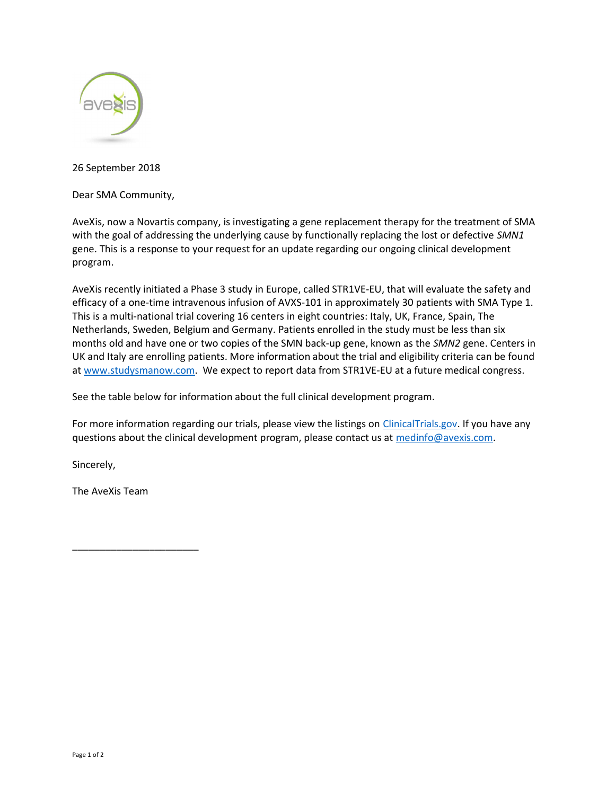

26 September 2018

Dear SMA Community,

AveXis, now a Novartis company, is investigating a gene replacement therapy for the treatment of SMA with the goal of addressing the underlying cause by functionally replacing the lost or defective SMN1 gene. This is a response to your request for an update regarding our ongoing clinical development program.

AveXis recently initiated a Phase 3 study in Europe, called STR1VE-EU, that will evaluate the safety and efficacy of a one-time intravenous infusion of AVXS-101 in approximately 30 patients with SMA Type 1. This is a multi-national trial covering 16 centers in eight countries: Italy, UK, France, Spain, The Netherlands, Sweden, Belgium and Germany. Patients enrolled in the study must be less than six months old and have one or two copies of the SMN back-up gene, known as the SMN2 gene. Centers in UK and Italy are enrolling patients. More information about the trial and eligibility criteria can be found at www.studysmanow.com. We expect to report data from STR1VE-EU at a future medical congress.

See the table below for information about the full clinical development program.

For more information regarding our trials, please view the listings on ClinicalTrials.gov. If you have any questions about the clinical development program, please contact us at medinfo@avexis.com.

Sincerely,

The AveXis Team

\_\_\_\_\_\_\_\_\_\_\_\_\_\_\_\_\_\_\_\_\_\_\_